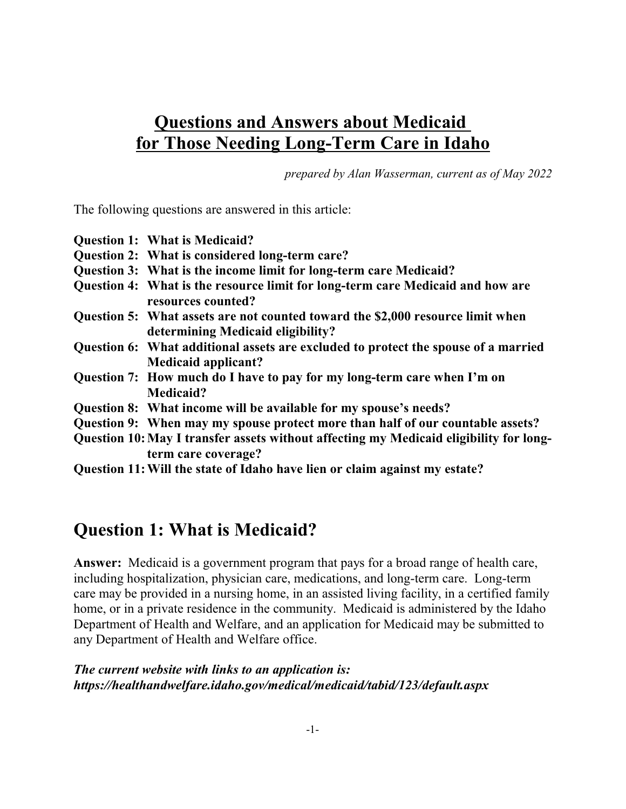## **Questions and Answers about Medicaid for Those Needing Long-Term Care in Idaho**

*prepared by Alan Wasserman, current as of May 2022*

The following questions are answered in this article:

|  | <b>Question 1: What is Medicaid?</b> |
|--|--------------------------------------|
|--|--------------------------------------|

- **Question 2: What is considered long-term care?**
- **Question 3: What is the income limit for long-term care Medicaid?**
- **Question 4: What is the resource limit for long-term care Medicaid and how are resources counted?**
- **Question 5: What assets are not counted toward the \$2,000 resource limit when determining Medicaid eligibility?**
- **Question 6: What additional assets are excluded to protect the spouse of a married Medicaid applicant?**
- **Question 7: How much do I have to pay for my long-term care when I'm on Medicaid?**
- **Question 8: What income will be available for my spouse's needs?**
- **Question 9: When may my spouse protect more than half of our countable assets?**
- **Question 10:May I transfer assets without affecting my Medicaid eligibility for longterm care coverage?**
- **Question 11:Will the state of Idaho have lien or claim against my estate?**

### **Question 1: What is Medicaid?**

**Answer:** Medicaid is a government program that pays for a broad range of health care, including hospitalization, physician care, medications, and long-term care. Long-term care may be provided in a nursing home, in an assisted living facility, in a certified family home, or in a private residence in the community. Medicaid is administered by the Idaho Department of Health and Welfare, and an application for Medicaid may be submitted to any Department of Health and Welfare office.

#### *The current website with links to an application is: https://healthandwelfare.idaho.gov/medical/medicaid/tabid/123/default.aspx*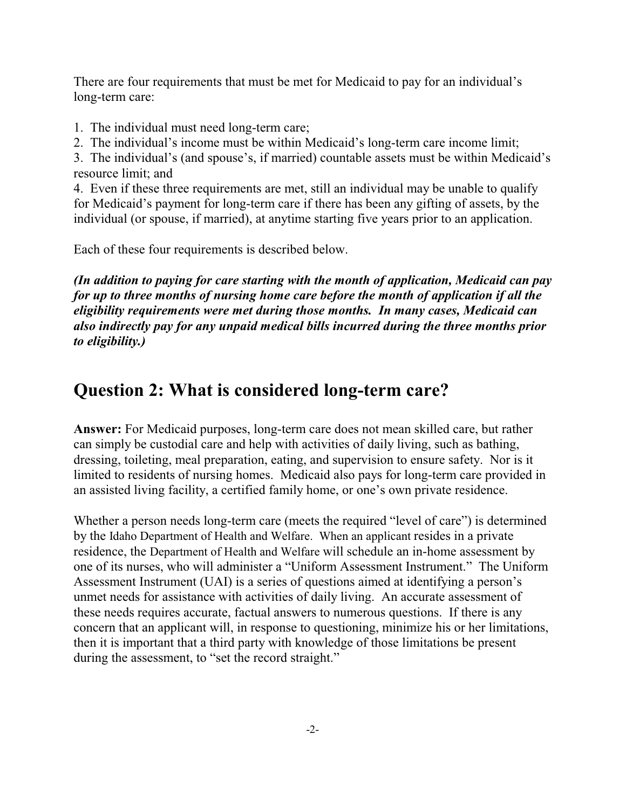There are four requirements that must be met for Medicaid to pay for an individual's long-term care:

- 1. The individual must need long-term care;
- 2. The individual's income must be within Medicaid's long-term care income limit;

3. The individual's (and spouse's, if married) countable assets must be within Medicaid's resource limit; and

4. Even if these three requirements are met, still an individual may be unable to qualify for Medicaid's payment for long-term care if there has been any gifting of assets, by the individual (or spouse, if married), at anytime starting five years prior to an application.

Each of these four requirements is described below.

*(In addition to paying for care starting with the month of application, Medicaid can pay for up to three months of nursing home care before the month of application if all the eligibility requirements were met during those months. In many cases, Medicaid can also indirectly pay for any unpaid medical bills incurred during the three months prior to eligibility.)*

## **Question 2: What is considered long-term care?**

**Answer:** For Medicaid purposes, long-term care does not mean skilled care, but rather can simply be custodial care and help with activities of daily living, such as bathing, dressing, toileting, meal preparation, eating, and supervision to ensure safety. Nor is it limited to residents of nursing homes. Medicaid also pays for long-term care provided in an assisted living facility, a certified family home, or one's own private residence.

Whether a person needs long-term care (meets the required "level of care") is determined by the Idaho Department of Health and Welfare. When an applicant resides in a private residence, the Department of Health and Welfare will schedule an in-home assessment by one of its nurses, who will administer a "Uniform Assessment Instrument." The Uniform Assessment Instrument (UAI) is a series of questions aimed at identifying a person's unmet needs for assistance with activities of daily living. An accurate assessment of these needs requires accurate, factual answers to numerous questions. If there is any concern that an applicant will, in response to questioning, minimize his or her limitations, then it is important that a third party with knowledge of those limitations be present during the assessment, to "set the record straight."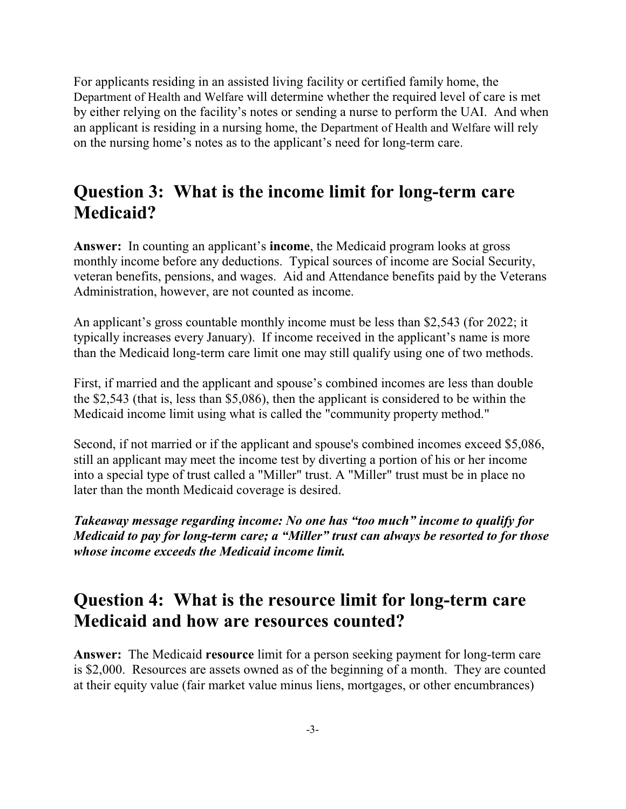For applicants residing in an assisted living facility or certified family home, the Department of Health and Welfare will determine whether the required level of care is met by either relying on the facility's notes or sending a nurse to perform the UAI. And when an applicant is residing in a nursing home, the Department of Health and Welfare will rely on the nursing home's notes as to the applicant's need for long-term care.

### **Question 3: What is the income limit for long-term care Medicaid?**

**Answer:** In counting an applicant's **income**, the Medicaid program looks at gross monthly income before any deductions. Typical sources of income are Social Security, veteran benefits, pensions, and wages. Aid and Attendance benefits paid by the Veterans Administration, however, are not counted as income.

An applicant's gross countable monthly income must be less than \$2,543 (for 2022; it typically increases every January). If income received in the applicant's name is more than the Medicaid long-term care limit one may still qualify using one of two methods.

First, if married and the applicant and spouse's combined incomes are less than double the \$2,543 (that is, less than \$5,086), then the applicant is considered to be within the Medicaid income limit using what is called the "community property method."

Second, if not married or if the applicant and spouse's combined incomes exceed \$5,086, still an applicant may meet the income test by diverting a portion of his or her income into a special type of trust called a "Miller" trust. A "Miller" trust must be in place no later than the month Medicaid coverage is desired.

*Takeaway message regarding income: No one has "too much" income to qualify for Medicaid to pay for long-term care; a "Miller" trust can always be resorted to for those whose income exceeds the Medicaid income limit.*

## **Question 4: What is the resource limit for long-term care Medicaid and how are resources counted?**

**Answer:** The Medicaid **resource** limit for a person seeking payment for long-term care is \$2,000. Resources are assets owned as of the beginning of a month. They are counted at their equity value (fair market value minus liens, mortgages, or other encumbrances)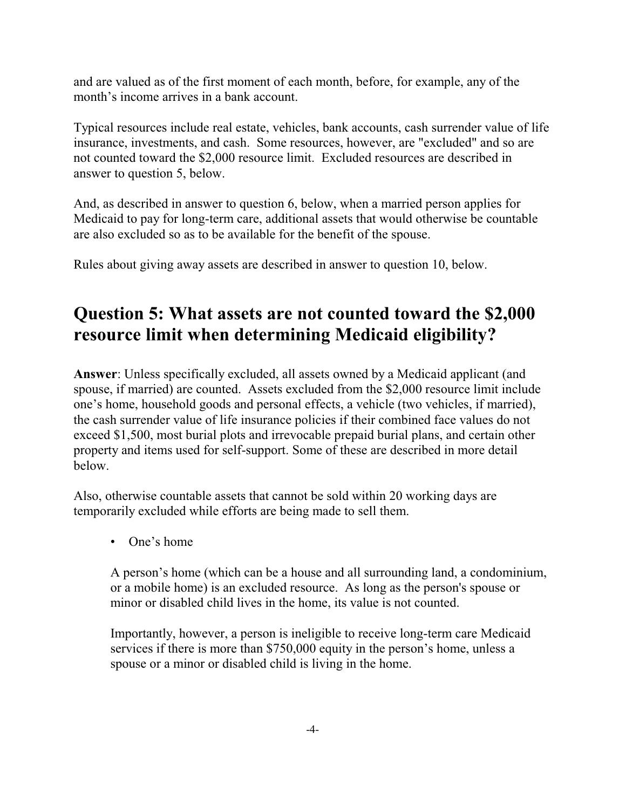and are valued as of the first moment of each month, before, for example, any of the month's income arrives in a bank account.

Typical resources include real estate, vehicles, bank accounts, cash surrender value of life insurance, investments, and cash. Some resources, however, are "excluded" and so are not counted toward the \$2,000 resource limit. Excluded resources are described in answer to question 5, below.

And, as described in answer to question 6, below, when a married person applies for Medicaid to pay for long-term care, additional assets that would otherwise be countable are also excluded so as to be available for the benefit of the spouse.

Rules about giving away assets are described in answer to question 10, below.

# **Question 5: What assets are not counted toward the \$2,000 resource limit when determining Medicaid eligibility?**

**Answer**: Unless specifically excluded, all assets owned by a Medicaid applicant (and spouse, if married) are counted. Assets excluded from the \$2,000 resource limit include one's home, household goods and personal effects, a vehicle (two vehicles, if married), the cash surrender value of life insurance policies if their combined face values do not exceed \$1,500, most burial plots and irrevocable prepaid burial plans, and certain other property and items used for self-support. Some of these are described in more detail below.

Also, otherwise countable assets that cannot be sold within 20 working days are temporarily excluded while efforts are being made to sell them.

• One's home

A person's home (which can be a house and all surrounding land, a condominium, or a mobile home) is an excluded resource. As long as the person's spouse or minor or disabled child lives in the home, its value is not counted.

Importantly, however, a person is ineligible to receive long-term care Medicaid services if there is more than \$750,000 equity in the person's home, unless a spouse or a minor or disabled child is living in the home.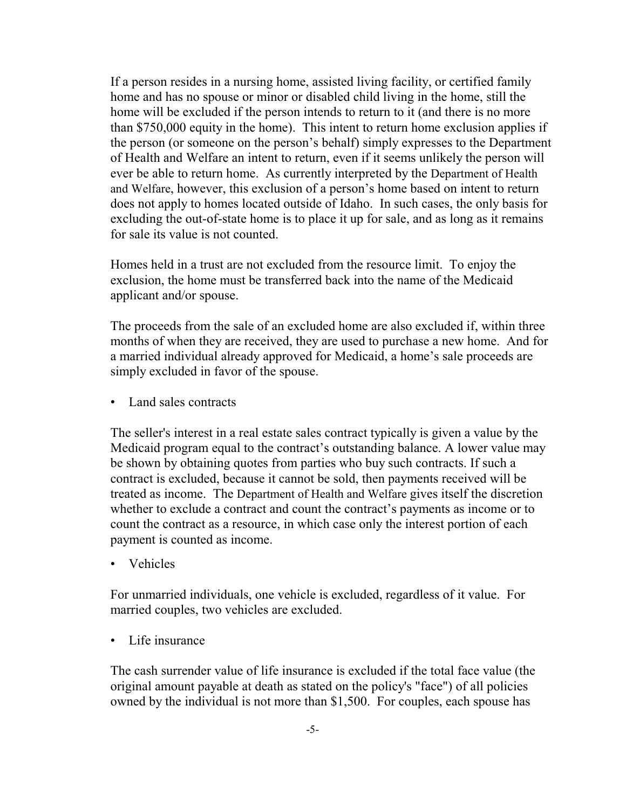If a person resides in a nursing home, assisted living facility, or certified family home and has no spouse or minor or disabled child living in the home, still the home will be excluded if the person intends to return to it (and there is no more than \$750,000 equity in the home). This intent to return home exclusion applies if the person (or someone on the person's behalf) simply expresses to the Department of Health and Welfare an intent to return, even if it seems unlikely the person will ever be able to return home. As currently interpreted by the Department of Health and Welfare, however, this exclusion of a person's home based on intent to return does not apply to homes located outside of Idaho. In such cases, the only basis for excluding the out-of-state home is to place it up for sale, and as long as it remains for sale its value is not counted.

Homes held in a trust are not excluded from the resource limit. To enjoy the exclusion, the home must be transferred back into the name of the Medicaid applicant and/or spouse.

The proceeds from the sale of an excluded home are also excluded if, within three months of when they are received, they are used to purchase a new home. And for a married individual already approved for Medicaid, a home's sale proceeds are simply excluded in favor of the spouse.

Land sales contracts

The seller's interest in a real estate sales contract typically is given a value by the Medicaid program equal to the contract's outstanding balance. A lower value may be shown by obtaining quotes from parties who buy such contracts. If such a contract is excluded, because it cannot be sold, then payments received will be treated as income. The Department of Health and Welfare gives itself the discretion whether to exclude a contract and count the contract's payments as income or to count the contract as a resource, in which case only the interest portion of each payment is counted as income.

• Vehicles

For unmarried individuals, one vehicle is excluded, regardless of it value. For married couples, two vehicles are excluded.

Life insurance

The cash surrender value of life insurance is excluded if the total face value (the original amount payable at death as stated on the policy's "face") of all policies owned by the individual is not more than \$1,500. For couples, each spouse has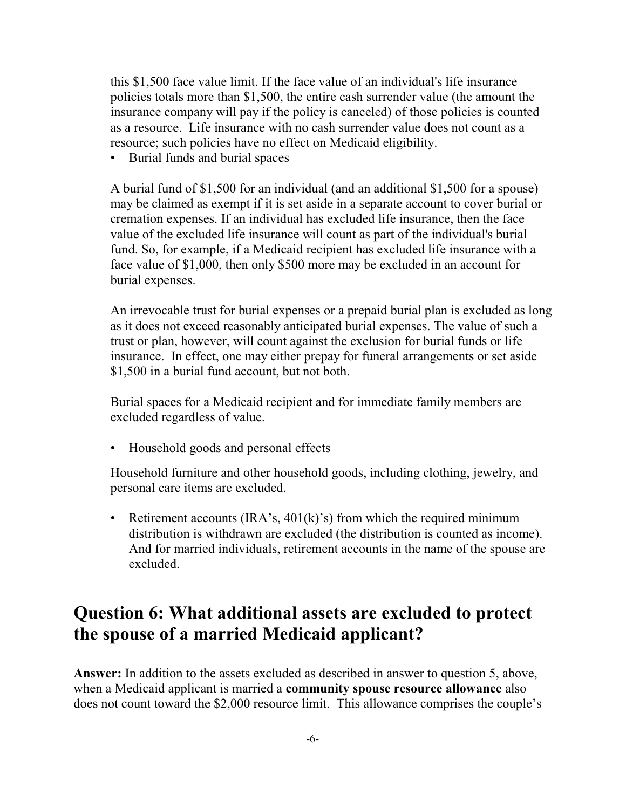this \$1,500 face value limit. If the face value of an individual's life insurance policies totals more than \$1,500, the entire cash surrender value (the amount the insurance company will pay if the policy is canceled) of those policies is counted as a resource. Life insurance with no cash surrender value does not count as a resource; such policies have no effect on Medicaid eligibility.

• Burial funds and burial spaces

A burial fund of \$1,500 for an individual (and an additional \$1,500 for a spouse) may be claimed as exempt if it is set aside in a separate account to cover burial or cremation expenses. If an individual has excluded life insurance, then the face value of the excluded life insurance will count as part of the individual's burial fund. So, for example, if a Medicaid recipient has excluded life insurance with a face value of \$1,000, then only \$500 more may be excluded in an account for burial expenses.

An irrevocable trust for burial expenses or a prepaid burial plan is excluded as long as it does not exceed reasonably anticipated burial expenses. The value of such a trust or plan, however, will count against the exclusion for burial funds or life insurance. In effect, one may either prepay for funeral arrangements or set aside \$1,500 in a burial fund account, but not both.

Burial spaces for a Medicaid recipient and for immediate family members are excluded regardless of value.

• Household goods and personal effects

Household furniture and other household goods, including clothing, jewelry, and personal care items are excluded.

• Retirement accounts  $\left( \text{IRA's}, 401 \times \text{N's} \right)$  from which the required minimum distribution is withdrawn are excluded (the distribution is counted as income). And for married individuals, retirement accounts in the name of the spouse are excluded.

### **Question 6: What additional assets are excluded to protect the spouse of a married Medicaid applicant?**

**Answer:** In addition to the assets excluded as described in answer to question 5, above, when a Medicaid applicant is married a **community spouse resource allowance** also does not count toward the \$2,000 resource limit. This allowance comprises the couple's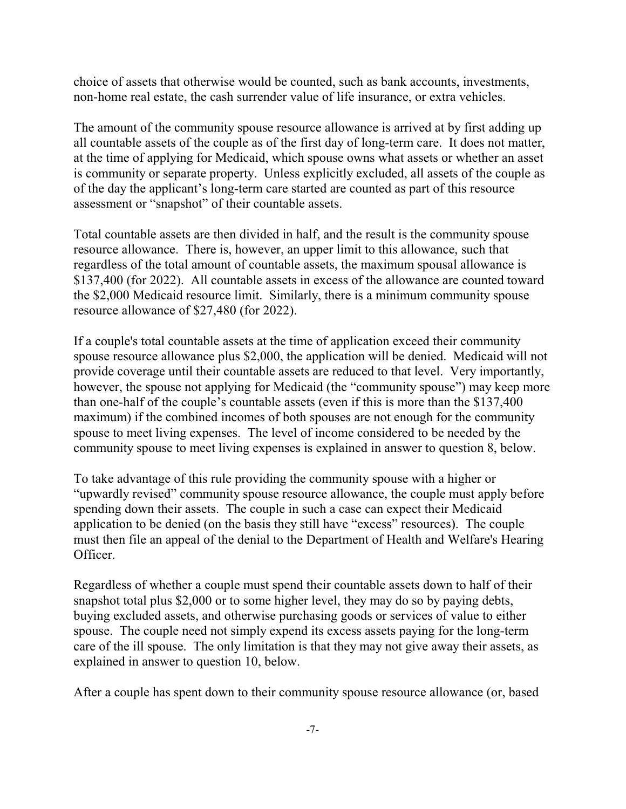choice of assets that otherwise would be counted, such as bank accounts, investments, non-home real estate, the cash surrender value of life insurance, or extra vehicles.

The amount of the community spouse resource allowance is arrived at by first adding up all countable assets of the couple as of the first day of long-term care. It does not matter, at the time of applying for Medicaid, which spouse owns what assets or whether an asset is community or separate property. Unless explicitly excluded, all assets of the couple as of the day the applicant's long-term care started are counted as part of this resource assessment or "snapshot" of their countable assets.

Total countable assets are then divided in half, and the result is the community spouse resource allowance. There is, however, an upper limit to this allowance, such that regardless of the total amount of countable assets, the maximum spousal allowance is \$137,400 (for 2022). All countable assets in excess of the allowance are counted toward the \$2,000 Medicaid resource limit. Similarly, there is a minimum community spouse resource allowance of \$27,480 (for 2022).

If a couple's total countable assets at the time of application exceed their community spouse resource allowance plus \$2,000, the application will be denied. Medicaid will not provide coverage until their countable assets are reduced to that level. Very importantly, however, the spouse not applying for Medicaid (the "community spouse") may keep more than one-half of the couple's countable assets (even if this is more than the \$137,400 maximum) if the combined incomes of both spouses are not enough for the community spouse to meet living expenses. The level of income considered to be needed by the community spouse to meet living expenses is explained in answer to question 8, below.

To take advantage of this rule providing the community spouse with a higher or "upwardly revised" community spouse resource allowance, the couple must apply before spending down their assets. The couple in such a case can expect their Medicaid application to be denied (on the basis they still have "excess" resources). The couple must then file an appeal of the denial to the Department of Health and Welfare's Hearing Officer.

Regardless of whether a couple must spend their countable assets down to half of their snapshot total plus \$2,000 or to some higher level, they may do so by paying debts, buying excluded assets, and otherwise purchasing goods or services of value to either spouse. The couple need not simply expend its excess assets paying for the long-term care of the ill spouse. The only limitation is that they may not give away their assets, as explained in answer to question 10, below.

After a couple has spent down to their community spouse resource allowance (or, based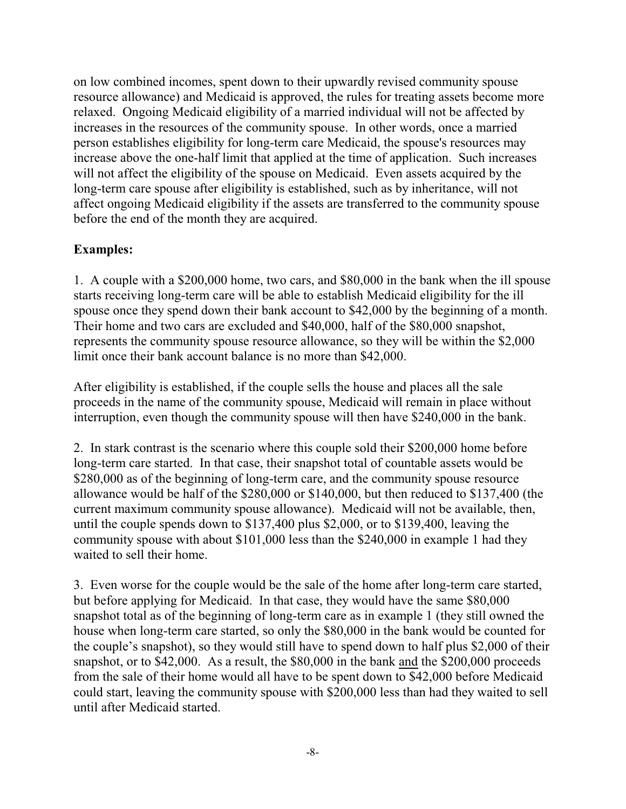on low combined incomes, spent down to their upwardly revised community spouse resource allowance) and Medicaid is approved, the rules for treating assets become more relaxed. Ongoing Medicaid eligibility of a married individual will not be affected by increases in the resources of the community spouse. In other words, once a married person establishes eligibility for long-term care Medicaid, the spouse's resources may increase above the one-half limit that applied at the time of application. Such increases will not affect the eligibility of the spouse on Medicaid. Even assets acquired by the long-term care spouse after eligibility is established, such as by inheritance, will not affect ongoing Medicaid eligibility if the assets are transferred to the community spouse before the end of the month they are acquired.

#### **Examples:**

1. A couple with a \$200,000 home, two cars, and \$80,000 in the bank when the ill spouse starts receiving long-term care will be able to establish Medicaid eligibility for the ill spouse once they spend down their bank account to \$42,000 by the beginning of a month. Their home and two cars are excluded and \$40,000, half of the \$80,000 snapshot, represents the community spouse resource allowance, so they will be within the \$2,000 limit once their bank account balance is no more than \$42,000.

After eligibility is established, if the couple sells the house and places all the sale proceeds in the name of the community spouse, Medicaid will remain in place without interruption, even though the community spouse will then have \$240,000 in the bank.

2. In stark contrast is the scenario where this couple sold their \$200,000 home before long-term care started. In that case, their snapshot total of countable assets would be \$280,000 as of the beginning of long-term care, and the community spouse resource allowance would be half of the \$280,000 or \$140,000, but then reduced to \$137,400 (the current maximum community spouse allowance). Medicaid will not be available, then, until the couple spends down to \$137,400 plus \$2,000, or to \$139,400, leaving the community spouse with about \$101,000 less than the \$240,000 in example 1 had they waited to sell their home.

3. Even worse for the couple would be the sale of the home after long-term care started, but before applying for Medicaid. In that case, they would have the same \$80,000 snapshot total as of the beginning of long-term care as in example 1 (they still owned the house when long-term care started, so only the \$80,000 in the bank would be counted for the couple's snapshot), so they would still have to spend down to half plus \$2,000 of their snapshot, or to \$42,000. As a result, the \$80,000 in the bank and the \$200,000 proceeds from the sale of their home would all have to be spent down to \$42,000 before Medicaid could start, leaving the community spouse with \$200,000 less than had they waited to sell until after Medicaid started.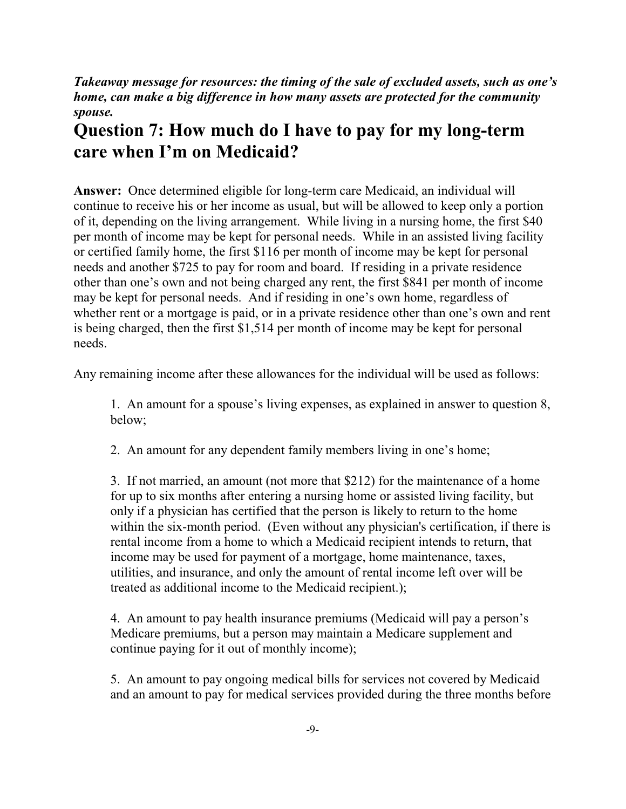*Takeaway message for resources: the timing of the sale of excluded assets, such as one's home, can make a big difference in how many assets are protected for the community spouse.*

## **Question 7: How much do I have to pay for my long-term care when I'm on Medicaid?**

**Answer:** Once determined eligible for long-term care Medicaid, an individual will continue to receive his or her income as usual, but will be allowed to keep only a portion of it, depending on the living arrangement. While living in a nursing home, the first \$40 per month of income may be kept for personal needs. While in an assisted living facility or certified family home, the first \$116 per month of income may be kept for personal needs and another \$725 to pay for room and board. If residing in a private residence other than one's own and not being charged any rent, the first \$841 per month of income may be kept for personal needs. And if residing in one's own home, regardless of whether rent or a mortgage is paid, or in a private residence other than one's own and rent is being charged, then the first \$1,514 per month of income may be kept for personal needs.

Any remaining income after these allowances for the individual will be used as follows:

1. An amount for a spouse's living expenses, as explained in answer to question 8, below;

2. An amount for any dependent family members living in one's home;

3. If not married, an amount (not more that \$212) for the maintenance of a home for up to six months after entering a nursing home or assisted living facility, but only if a physician has certified that the person is likely to return to the home within the six-month period. (Even without any physician's certification, if there is rental income from a home to which a Medicaid recipient intends to return, that income may be used for payment of a mortgage, home maintenance, taxes, utilities, and insurance, and only the amount of rental income left over will be treated as additional income to the Medicaid recipient.);

4. An amount to pay health insurance premiums (Medicaid will pay a person's Medicare premiums, but a person may maintain a Medicare supplement and continue paying for it out of monthly income);

5. An amount to pay ongoing medical bills for services not covered by Medicaid and an amount to pay for medical services provided during the three months before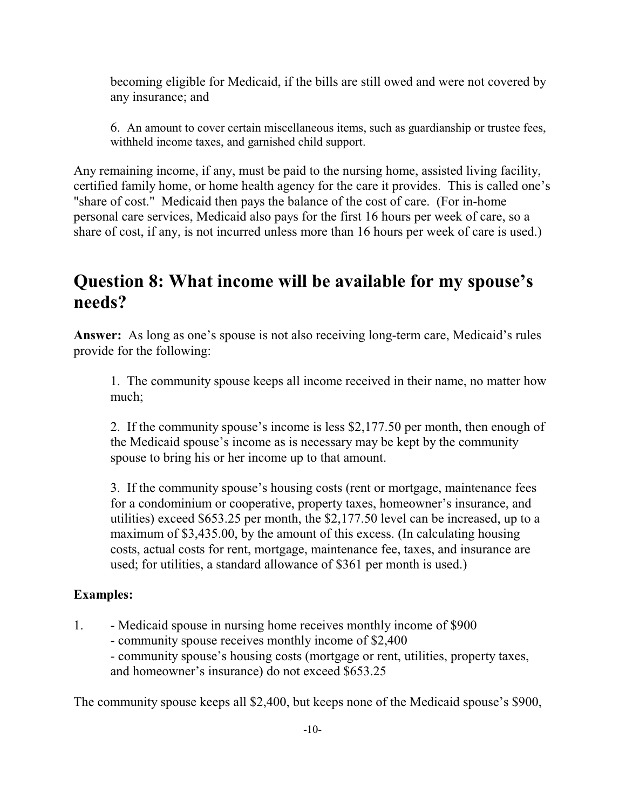becoming eligible for Medicaid, if the bills are still owed and were not covered by any insurance; and

6. An amount to cover certain miscellaneous items, such as guardianship or trustee fees, withheld income taxes, and garnished child support.

Any remaining income, if any, must be paid to the nursing home, assisted living facility, certified family home, or home health agency for the care it provides. This is called one's "share of cost." Medicaid then pays the balance of the cost of care. (For in-home personal care services, Medicaid also pays for the first 16 hours per week of care, so a share of cost, if any, is not incurred unless more than 16 hours per week of care is used.)

## **Question 8: What income will be available for my spouse's needs?**

**Answer:** As long as one's spouse is not also receiving long-term care, Medicaid's rules provide for the following:

1. The community spouse keeps all income received in their name, no matter how much;

2. If the community spouse's income is less \$2,177.50 per month, then enough of the Medicaid spouse's income as is necessary may be kept by the community spouse to bring his or her income up to that amount.

3. If the community spouse's housing costs (rent or mortgage, maintenance fees for a condominium or cooperative, property taxes, homeowner's insurance, and utilities) exceed \$653.25 per month, the \$2,177.50 level can be increased, up to a maximum of \$3,435.00, by the amount of this excess. (In calculating housing costs, actual costs for rent, mortgage, maintenance fee, taxes, and insurance are used; for utilities, a standard allowance of \$361 per month is used.)

#### **Examples:**

- 1. Medicaid spouse in nursing home receives monthly income of \$900
	- community spouse receives monthly income of \$2,400

- community spouse's housing costs (mortgage or rent, utilities, property taxes, and homeowner's insurance) do not exceed \$653.25

The community spouse keeps all \$2,400, but keeps none of the Medicaid spouse's \$900,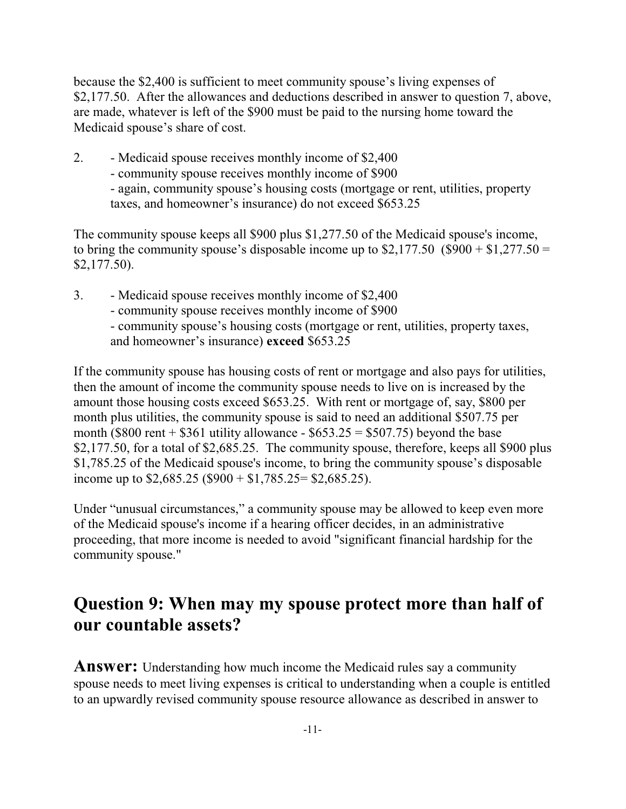because the \$2,400 is sufficient to meet community spouse's living expenses of \$2,177.50. After the allowances and deductions described in answer to question 7, above, are made, whatever is left of the \$900 must be paid to the nursing home toward the Medicaid spouse's share of cost.

- 2. Medicaid spouse receives monthly income of \$2,400
	- community spouse receives monthly income of \$900

- again, community spouse's housing costs (mortgage or rent, utilities, property taxes, and homeowner's insurance) do not exceed \$653.25

The community spouse keeps all \$900 plus \$1,277.50 of the Medicaid spouse's income, to bring the community spouse's disposable income up to  $$2,177.50$  (\$900 + \$1,277.50 = \$2,177.50).

- 3. Medicaid spouse receives monthly income of \$2,400
	- community spouse receives monthly income of \$900
	- community spouse's housing costs (mortgage or rent, utilities, property taxes, and homeowner's insurance) **exceed** \$653.25

If the community spouse has housing costs of rent or mortgage and also pays for utilities, then the amount of income the community spouse needs to live on is increased by the amount those housing costs exceed \$653.25. With rent or mortgage of, say, \$800 per month plus utilities, the community spouse is said to need an additional \$507.75 per month (\$800 rent + \$361 utility allowance - \$653.25 = \$507.75) beyond the base \$2,177.50, for a total of \$2,685.25. The community spouse, therefore, keeps all \$900 plus \$1,785.25 of the Medicaid spouse's income, to bring the community spouse's disposable income up to  $$2,685.25$  (\$900 + \$1,785.25 = \$2,685.25).

Under "unusual circumstances," a community spouse may be allowed to keep even more of the Medicaid spouse's income if a hearing officer decides, in an administrative proceeding, that more income is needed to avoid "significant financial hardship for the community spouse."

## **Question 9: When may my spouse protect more than half of our countable assets?**

**Answer:** Understanding how much income the Medicaid rules say a community spouse needs to meet living expenses is critical to understanding when a couple is entitled to an upwardly revised community spouse resource allowance as described in answer to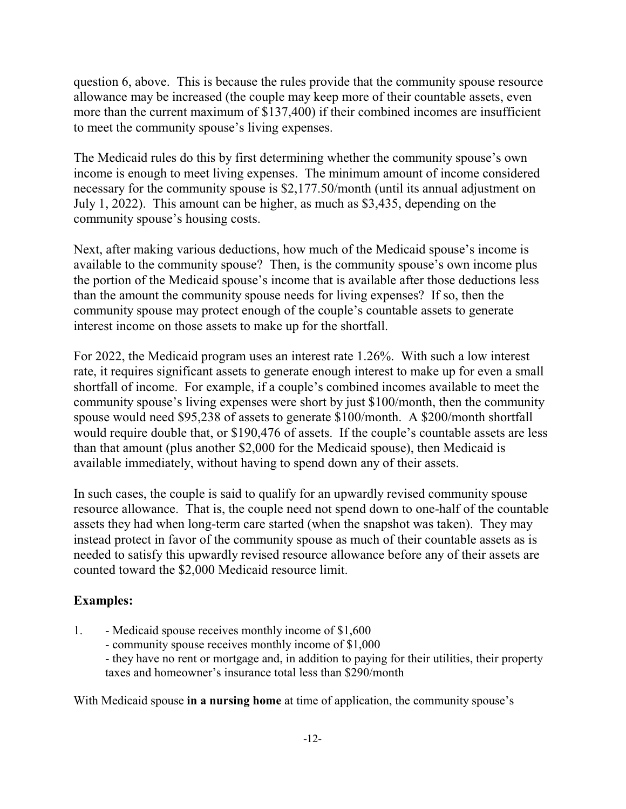question 6, above. This is because the rules provide that the community spouse resource allowance may be increased (the couple may keep more of their countable assets, even more than the current maximum of \$137,400) if their combined incomes are insufficient to meet the community spouse's living expenses.

The Medicaid rules do this by first determining whether the community spouse's own income is enough to meet living expenses. The minimum amount of income considered necessary for the community spouse is \$2,177.50/month (until its annual adjustment on July 1, 2022). This amount can be higher, as much as \$3,435, depending on the community spouse's housing costs.

Next, after making various deductions, how much of the Medicaid spouse's income is available to the community spouse? Then, is the community spouse's own income plus the portion of the Medicaid spouse's income that is available after those deductions less than the amount the community spouse needs for living expenses? If so, then the community spouse may protect enough of the couple's countable assets to generate interest income on those assets to make up for the shortfall.

For 2022, the Medicaid program uses an interest rate 1.26%. With such a low interest rate, it requires significant assets to generate enough interest to make up for even a small shortfall of income. For example, if a couple's combined incomes available to meet the community spouse's living expenses were short by just \$100/month, then the community spouse would need \$95,238 of assets to generate \$100/month. A \$200/month shortfall would require double that, or \$190,476 of assets. If the couple's countable assets are less than that amount (plus another \$2,000 for the Medicaid spouse), then Medicaid is available immediately, without having to spend down any of their assets.

In such cases, the couple is said to qualify for an upwardly revised community spouse resource allowance. That is, the couple need not spend down to one-half of the countable assets they had when long-term care started (when the snapshot was taken). They may instead protect in favor of the community spouse as much of their countable assets as is needed to satisfy this upwardly revised resource allowance before any of their assets are counted toward the \$2,000 Medicaid resource limit.

#### **Examples:**

- 1. Medicaid spouse receives monthly income of \$1,600
	- community spouse receives monthly income of \$1,000

- they have no rent or mortgage and, in addition to paying for their utilities, their property taxes and homeowner's insurance total less than \$290/month

With Medicaid spouse **in a nursing home** at time of application, the community spouse's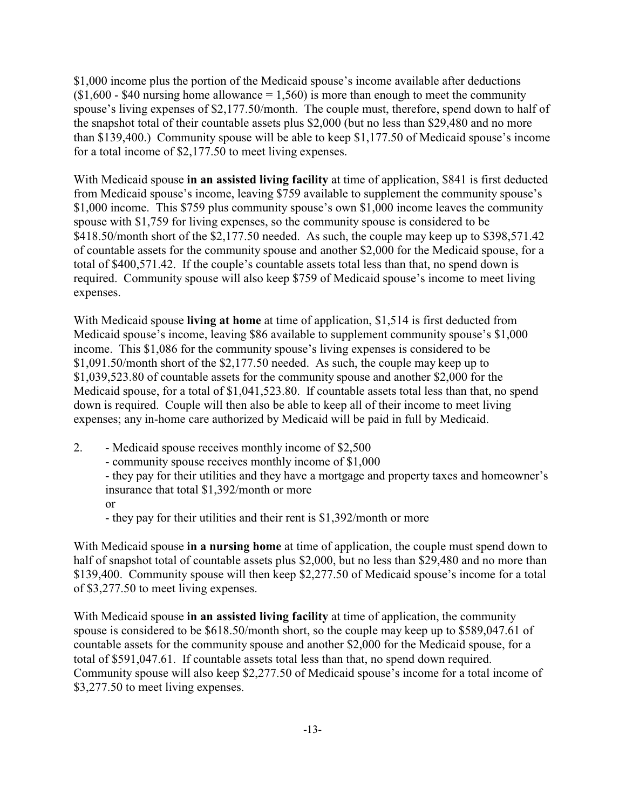\$1,000 income plus the portion of the Medicaid spouse's income available after deductions  $($1,600 - $40$  nursing home allowance = 1,560) is more than enough to meet the community spouse's living expenses of \$2,177.50/month. The couple must, therefore, spend down to half of the snapshot total of their countable assets plus \$2,000 (but no less than \$29,480 and no more than \$139,400.) Community spouse will be able to keep \$1,177.50 of Medicaid spouse's income for a total income of \$2,177.50 to meet living expenses.

With Medicaid spouse **in an assisted living facility** at time of application, \$841 is first deducted from Medicaid spouse's income, leaving \$759 available to supplement the community spouse's \$1,000 income. This \$759 plus community spouse's own \$1,000 income leaves the community spouse with \$1,759 for living expenses, so the community spouse is considered to be \$418.50/month short of the \$2,177.50 needed. As such, the couple may keep up to \$398,571.42 of countable assets for the community spouse and another \$2,000 for the Medicaid spouse, for a total of \$400,571.42. If the couple's countable assets total less than that, no spend down is required. Community spouse will also keep \$759 of Medicaid spouse's income to meet living expenses.

With Medicaid spouse **living at home** at time of application, \$1,514 is first deducted from Medicaid spouse's income, leaving \$86 available to supplement community spouse's \$1,000 income. This \$1,086 for the community spouse's living expenses is considered to be \$1,091.50/month short of the \$2,177.50 needed. As such, the couple may keep up to \$1,039,523.80 of countable assets for the community spouse and another \$2,000 for the Medicaid spouse, for a total of \$1,041,523.80. If countable assets total less than that, no spend down is required. Couple will then also be able to keep all of their income to meet living expenses; any in-home care authorized by Medicaid will be paid in full by Medicaid.

- 2. Medicaid spouse receives monthly income of \$2,500
	- community spouse receives monthly income of \$1,000

- they pay for their utilities and they have a mortgage and property taxes and homeowner's insurance that total \$1,392/month or more

or

- they pay for their utilities and their rent is \$1,392/month or more

With Medicaid spouse **in a nursing home** at time of application, the couple must spend down to half of snapshot total of countable assets plus \$2,000, but no less than \$29,480 and no more than \$139,400. Community spouse will then keep \$2,277.50 of Medicaid spouse's income for a total of \$3,277.50 to meet living expenses.

With Medicaid spouse **in an assisted living facility** at time of application, the community spouse is considered to be \$618.50/month short, so the couple may keep up to \$589,047.61 of countable assets for the community spouse and another \$2,000 for the Medicaid spouse, for a total of \$591,047.61. If countable assets total less than that, no spend down required. Community spouse will also keep \$2,277.50 of Medicaid spouse's income for a total income of \$3,277.50 to meet living expenses.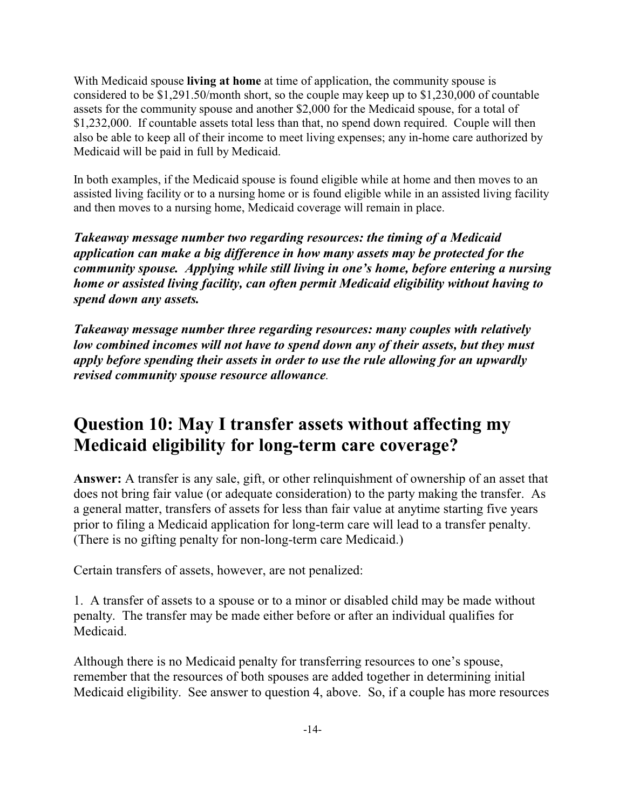With Medicaid spouse **living at home** at time of application, the community spouse is considered to be \$1,291.50/month short, so the couple may keep up to \$1,230,000 of countable assets for the community spouse and another \$2,000 for the Medicaid spouse, for a total of \$1,232,000. If countable assets total less than that, no spend down required. Couple will then also be able to keep all of their income to meet living expenses; any in-home care authorized by Medicaid will be paid in full by Medicaid.

In both examples, if the Medicaid spouse is found eligible while at home and then moves to an assisted living facility or to a nursing home or is found eligible while in an assisted living facility and then moves to a nursing home, Medicaid coverage will remain in place.

*Takeaway message number two regarding resources: the timing of a Medicaid application can make a big difference in how many assets may be protected for the community spouse. Applying while still living in one's home, before entering a nursing home or assisted living facility, can often permit Medicaid eligibility without having to spend down any assets.*

*Takeaway message number three regarding resources: many couples with relatively low combined incomes will not have to spend down any of their assets, but they must apply before spending their assets in order to use the rule allowing for an upwardly revised community spouse resource allowance.*

## **Question 10: May I transfer assets without affecting my Medicaid eligibility for long-term care coverage?**

**Answer:** A transfer is any sale, gift, or other relinquishment of ownership of an asset that does not bring fair value (or adequate consideration) to the party making the transfer. As a general matter, transfers of assets for less than fair value at anytime starting five years prior to filing a Medicaid application for long-term care will lead to a transfer penalty. (There is no gifting penalty for non-long-term care Medicaid.)

Certain transfers of assets, however, are not penalized:

1. A transfer of assets to a spouse or to a minor or disabled child may be made without penalty. The transfer may be made either before or after an individual qualifies for Medicaid.

Although there is no Medicaid penalty for transferring resources to one's spouse, remember that the resources of both spouses are added together in determining initial Medicaid eligibility. See answer to question 4, above. So, if a couple has more resources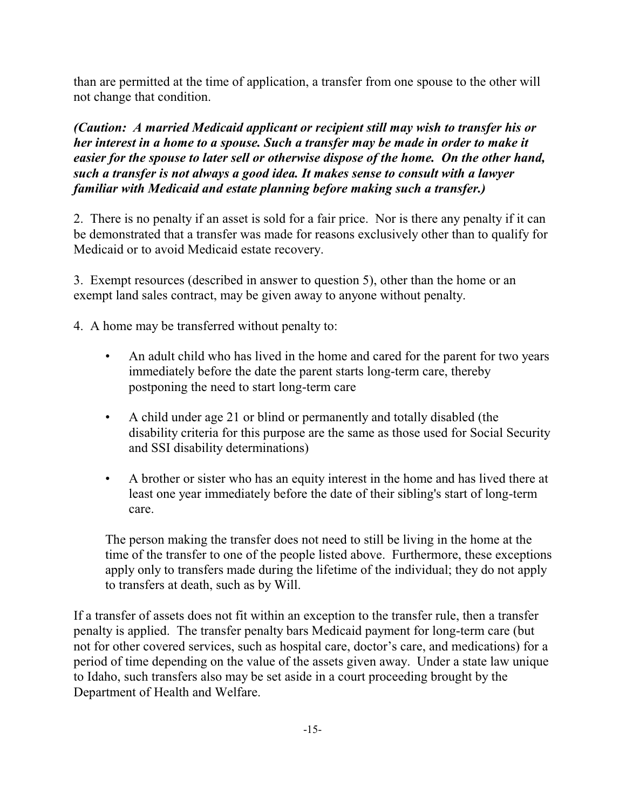than are permitted at the time of application, a transfer from one spouse to the other will not change that condition.

*(Caution: A married Medicaid applicant or recipient still may wish to transfer his or her interest in a home to a spouse. Such a transfer may be made in order to make it easier for the spouse to later sell or otherwise dispose of the home. On the other hand, such a transfer is not always a good idea. It makes sense to consult with a lawyer familiar with Medicaid and estate planning before making such a transfer.)*

2. There is no penalty if an asset is sold for a fair price. Nor is there any penalty if it can be demonstrated that a transfer was made for reasons exclusively other than to qualify for Medicaid or to avoid Medicaid estate recovery.

3. Exempt resources (described in answer to question 5), other than the home or an exempt land sales contract, may be given away to anyone without penalty.

4. A home may be transferred without penalty to:

- An adult child who has lived in the home and cared for the parent for two years immediately before the date the parent starts long-term care, thereby postponing the need to start long-term care
- A child under age 21 or blind or permanently and totally disabled (the disability criteria for this purpose are the same as those used for Social Security and SSI disability determinations)
- A brother or sister who has an equity interest in the home and has lived there at least one year immediately before the date of their sibling's start of long-term care.

The person making the transfer does not need to still be living in the home at the time of the transfer to one of the people listed above. Furthermore, these exceptions apply only to transfers made during the lifetime of the individual; they do not apply to transfers at death, such as by Will.

If a transfer of assets does not fit within an exception to the transfer rule, then a transfer penalty is applied. The transfer penalty bars Medicaid payment for long-term care (but not for other covered services, such as hospital care, doctor's care, and medications) for a period of time depending on the value of the assets given away. Under a state law unique to Idaho, such transfers also may be set aside in a court proceeding brought by the Department of Health and Welfare.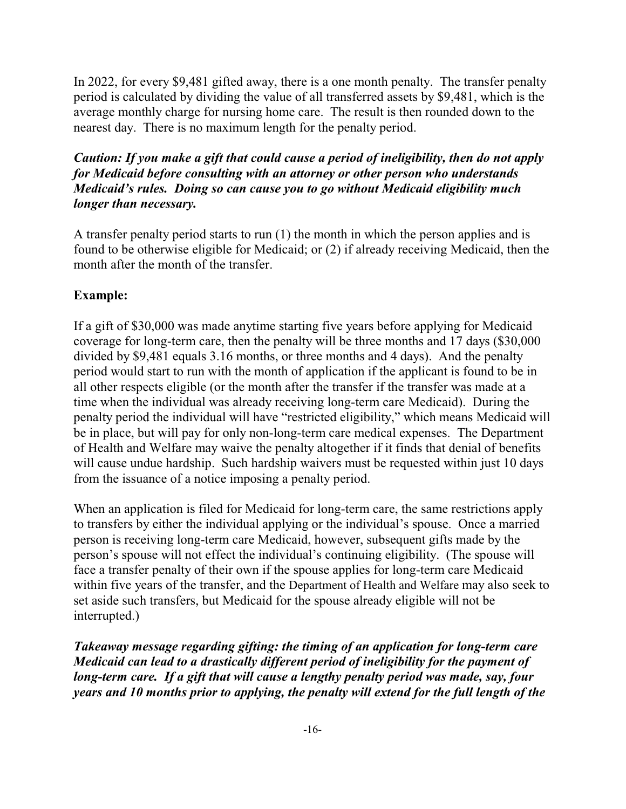In 2022, for every \$9,481 gifted away, there is a one month penalty. The transfer penalty period is calculated by dividing the value of all transferred assets by \$9,481, which is the average monthly charge for nursing home care. The result is then rounded down to the nearest day. There is no maximum length for the penalty period.

#### *Caution: If you make a gift that could cause a period of ineligibility, then do not apply for Medicaid before consulting with an attorney or other person who understands Medicaid's rules. Doing so can cause you to go without Medicaid eligibility much longer than necessary.*

A transfer penalty period starts to run (1) the month in which the person applies and is found to be otherwise eligible for Medicaid; or (2) if already receiving Medicaid, then the month after the month of the transfer.

#### **Example:**

If a gift of \$30,000 was made anytime starting five years before applying for Medicaid coverage for long-term care, then the penalty will be three months and 17 days (\$30,000 divided by \$9,481 equals 3.16 months, or three months and 4 days). And the penalty period would start to run with the month of application if the applicant is found to be in all other respects eligible (or the month after the transfer if the transfer was made at a time when the individual was already receiving long-term care Medicaid). During the penalty period the individual will have "restricted eligibility," which means Medicaid will be in place, but will pay for only non-long-term care medical expenses. The Department of Health and Welfare may waive the penalty altogether if it finds that denial of benefits will cause undue hardship. Such hardship waivers must be requested within just 10 days from the issuance of a notice imposing a penalty period.

When an application is filed for Medicaid for long-term care, the same restrictions apply to transfers by either the individual applying or the individual's spouse. Once a married person is receiving long-term care Medicaid, however, subsequent gifts made by the person's spouse will not effect the individual's continuing eligibility. (The spouse will face a transfer penalty of their own if the spouse applies for long-term care Medicaid within five years of the transfer, and the Department of Health and Welfare may also seek to set aside such transfers, but Medicaid for the spouse already eligible will not be interrupted.)

*Takeaway message regarding gifting: the timing of an application for long-term care Medicaid can lead to a drastically different period of ineligibility for the payment of long-term care. If a gift that will cause a lengthy penalty period was made, say, four years and 10 months prior to applying, the penalty will extend for the full length of the*